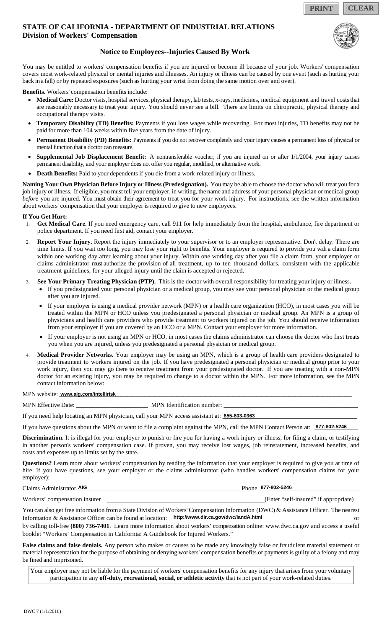**PRINT CLEAR**

## **STATE OF CALIFORNIA - DEPARTMENT OF INDUSTRIAL RELATIONS Division of Workers' Compensation**



## **Notice to Employees--Injuries Caused By Work**

 You may be entitled to workers' compensation benefits if you are injured or become ill because of your job. Workers' compensation covers most work-related physical or mental injuries and illnesses. An injury or illness can be caused by one event (such as hurting your back in a fall) or by repeated exposures (such as hurting your wrist from doing the same motion over and over).

**Benefits.** Workers' compensation benefits include:

- **Medical Care:** Doctor visits, hospital services, physical therapy, lab tests, x-rays, medicines, medical equipment and travel costs that are reasonably necessary to treat your injury. You should never see a bill. There are limits on chiropractic, physical therapy and occupational therapy visits.
- **Temporary Disability (TD) Benefits:** Payments if you lose wages while recovering. For most injuries, TD benefits may not be paid for more than 104 weeks within five years from the date of injury.
- **Permanent Disability (PD) Benefits:** Payments if you do not recover completely and your injury causes a permanent loss of physical or mental function that a doctor can measure.
- **Supplemental Job Displacement Benefit:** A nontransferable voucher, if you are injured on or after 1/1/2004, your injury causes permanent disability, and your employer does not offer you regular, modified, or alternative work.
- **Death Benefits:** Paid to your dependents if you die from a work-related injury or illness.

 **Naming Your Own Physician Before Injury or Illness (Predesignation).** You may be able to choose the doctor who will treat you for a job injury or illness. If eligible, you must tell your employer, in writing, the name and address of your personal physician or medical group *before* you are injured. You must obtain their agreement to treat you for your work injury. For instructions, see the written information about workers' compensation that your employer is required to give to new employees.

#### **If You Get Hurt:**

- 1. **Get Medical Care.** If you need emergency care, call 911 for help immediately from the hospital, ambulance, fire department or police department. If you need first aid, contact your employer.
- 2. **Report Your Injury.** Report the injury immediately to your supervisor or to an employer representative. Don't delay. There are time limits. If you wait too long, you may lose your right to benefits. Your employer is required to provide you with a claim form within one working day after learning about your injury. Within one working day after you file a claim form, your employer or claims administrator must authorize the provision of all treatment, up to ten thousand dollars, consistent with the applicable treatment guidelines, for your alleged injury until the claim is accepted or rejected.
- 3. **See Your Primary Treating Physician (PTP).** This is the doctor with overall responsibility for treating your injury or illness.
	- If you predesignated your personal physician or a medical group, you may see your personal physician or the medical group after you are injured.
	- treated within the MPN or HCO unless you predesignated a personal physician or medical group. An MPN is a group of If your employer is using a medical provider network (MPN) or a health care organization (HCO), in most cases you will be physicians and health care providers who provide treatment to workers injured on the job. You should receive information from your employer if you are covered by an HCO or a MPN. Contact your employer for more information.
	- If your employer is not using an MPN or HCO, in most cases the claims administrator can choose the doctor who first treats you when you are injured, unless you predesignated a personal physician or medical group.
- provide treatment to workers injured on the job. If you have predesignated a personal physician or medical group prior to your 4. **Medical Provider Networks.** Your employer may be using an MPN, which is a group of health care providers designated to work injury, then you may go there to receive treatment from your predesignated doctor. If you are treating with a non-MPN doctor for an existing injury, you may be required to change to a doctor within the MPN. For more information, see the MPN contact information below:

 $MPN$  website: www.aig.com/intellirisk **www.aig.com/intellirisk www.aig.com/intellirisk** 

MPN Effective Date: \_\_\_\_\_\_\_\_\_\_\_\_\_\_\_\_\_\_\_\_\_\_\_ MPN Identification number: \_\_\_\_\_\_\_\_\_\_\_\_\_\_\_\_\_\_\_\_\_\_\_\_\_\_\_\_\_\_\_\_\_\_\_\_\_\_\_\_\_\_\_

If you need help locating an MPN physician, call your MPN access assistant at: **855-803-0363** 

If you have questions about the MPN or want to file a complaint against the MPN, call the MPN Contact Person at:  $\frac{877-802-5246}{\cdot}$ 

 **Discrimination.** It is illegal for your employer to punish or fire you for having a work injury or illness, for filing a claim, or testifying in another person's workers' compensation case. If proven, you may receive lost wages, job reinstatement, increased benefits, and costs and expenses up to limits set by the state.

**Questions?** Learn more about workers' compensation by reading the information that your employer is required to give you at time of hire. If you have questions, see your employer or the claims administrator (who handles workers' compensation claims for your employer):

| Claims Administrator AIG      | Phone 877-802-5246                    |
|-------------------------------|---------------------------------------|
| Workers' compensation insurer | (Enter "self-insured" if appropriate) |

You can also get free information from a State Division of Workers' Compensation Information (DWC) & Assistance Officer. The nearest Information & Assistance Officer can be found at location: http://www.dir.ca.gov/dwc/landA.html or compared or

 booklet "Workers' Compensation in California: A Guidebook for Injured Workers." by calling toll-free **(800) 736-7401**. Learn more information about workers' compensation online: www.dwc.ca.gov and access a useful

 material representation for the purpose of obtaining or denying workers' compensation benefits or payments is guilty of a felony and may **False claims and false denials.** Any person who makes or causes to be made any knowingly false or fraudulent material statement or be fined and imprisoned.

 Your employer may not be liable for the payment of workers' compensation benefits for any injury that arises from your voluntary participation in any **off-duty, recreational, social, or athletic activity** that is not part of your work-related duties.